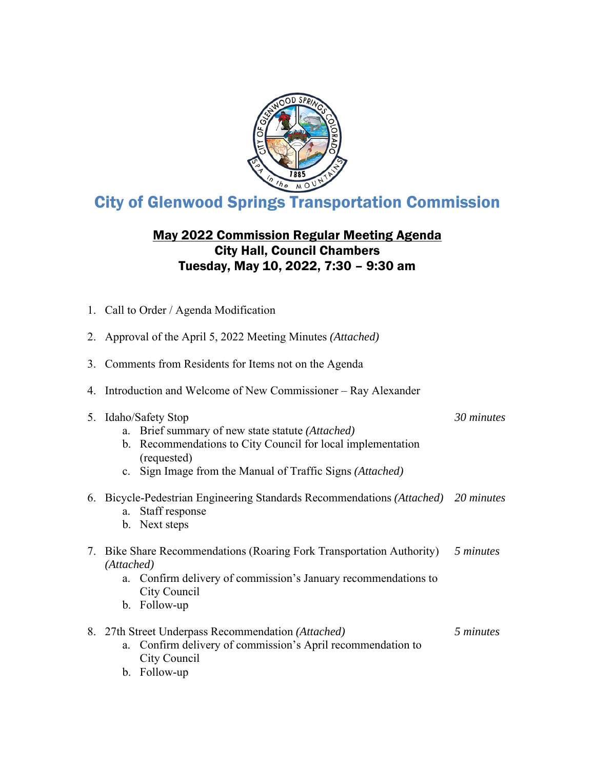

# City of Glenwood Springs Transportation Commission

# May 2022 Commission Regular Meeting Agenda City Hall, Council Chambers Tuesday, May 10, 2022, 7:30 – 9:30 am

1. Call to Order / Agenda Modification

|    | 2. Approval of the April 5, 2022 Meeting Minutes (Attached)                                                                                                                                                            |            |  |  |
|----|------------------------------------------------------------------------------------------------------------------------------------------------------------------------------------------------------------------------|------------|--|--|
| 3. | Comments from Residents for Items not on the Agenda                                                                                                                                                                    |            |  |  |
| 4. | Introduction and Welcome of New Commissioner – Ray Alexander                                                                                                                                                           |            |  |  |
|    | 5. Idaho/Safety Stop<br>a. Brief summary of new state statute (Attached)<br>Recommendations to City Council for local implementation<br>b.<br>(requested)<br>c. Sign Image from the Manual of Traffic Signs (Attached) | 30 minutes |  |  |
|    | 6. Bicycle-Pedestrian Engineering Standards Recommendations (Attached) 20 minutes<br>a. Staff response<br>b. Next steps                                                                                                |            |  |  |
|    | 7. Bike Share Recommendations (Roaring Fork Transportation Authority)<br>(Attached)<br>Confirm delivery of commission's January recommendations to<br>a.<br>City Council<br>b. Follow-up                               | 5 minutes  |  |  |
|    | 8. 27th Street Underpass Recommendation (Attached)<br>Confirm delivery of commission's April recommendation to<br>a.<br>City Council<br>b. Follow-up                                                                   | 5 minutes  |  |  |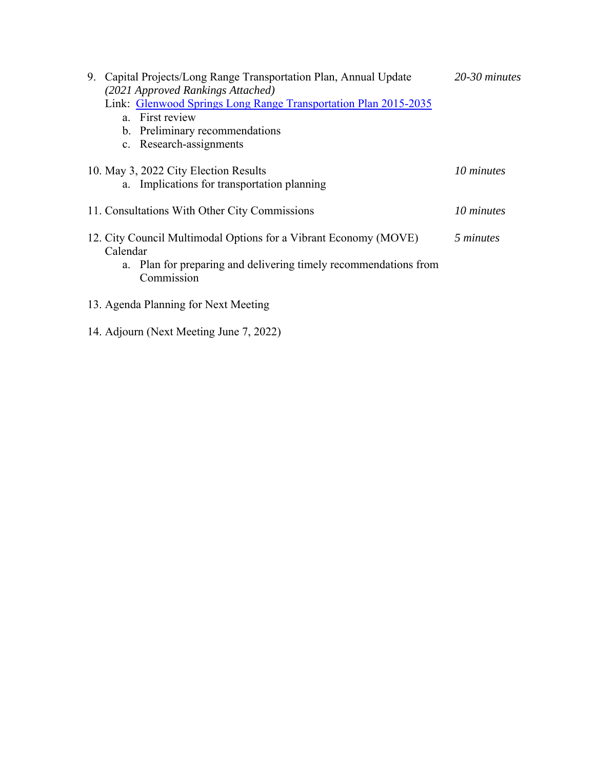| 9. Capital Projects/Long Range Transportation Plan, Annual Update              |            |  |  |  |
|--------------------------------------------------------------------------------|------------|--|--|--|
| (2021 Approved Rankings Attached)                                              |            |  |  |  |
| Link: Glenwood Springs Long Range Transportation Plan 2015-2035                |            |  |  |  |
| a. First review                                                                |            |  |  |  |
| b. Preliminary recommendations                                                 |            |  |  |  |
| c. Research-assignments                                                        |            |  |  |  |
| 10. May 3, 2022 City Election Results                                          | 10 minutes |  |  |  |
| a. Implications for transportation planning                                    |            |  |  |  |
| 11. Consultations With Other City Commissions                                  | 10 minutes |  |  |  |
| 12. City Council Multimodal Options for a Vibrant Economy (MOVE)<br>Calendar   | 5 minutes  |  |  |  |
| a. Plan for preparing and delivering timely recommendations from<br>Commission |            |  |  |  |
| 13. Agenda Planning for Next Meeting                                           |            |  |  |  |

14. Adjourn (Next Meeting June 7, 2022)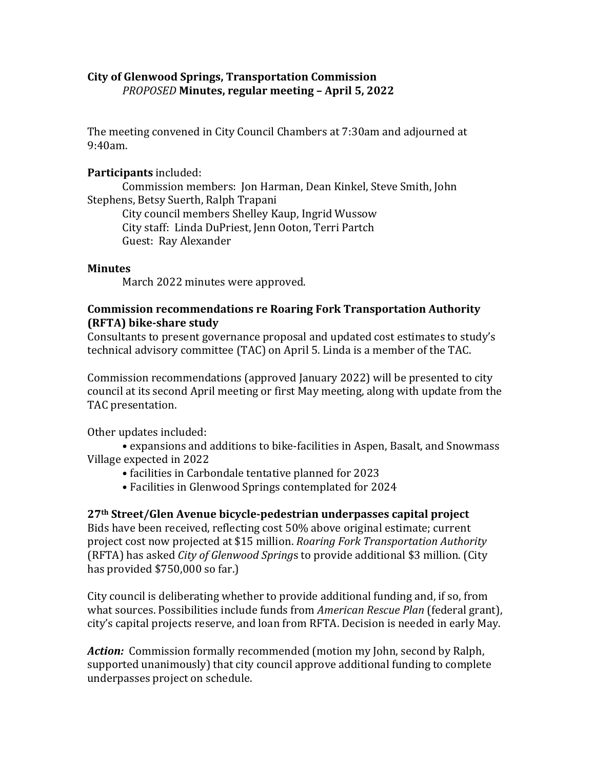# **City of Glenwood Springs, Transportation Commission** *PROPOSED* **Minutes, regular meeting – April 5, 2022**

The meeting convened in City Council Chambers at 7:30am and adjourned at 9:40am.

## **Participants** included:

 Commission members: Jon Harman, Dean Kinkel, Steve Smith, John Stephens, Betsy Suerth, Ralph Trapani

 City council members Shelley Kaup, Ingrid Wussow City staff: Linda DuPriest, Jenn Ooton, Terri Partch Guest: Ray Alexander

### **Minutes**

March 2022 minutes were approved.

## **Commission recommendations re Roaring Fork Transportation Authority (RFTA) bike‐share study**

Consultants to present governance proposal and updated cost estimates to study's technical advisory committee (TAC) on April 5. Linda is a member of the TAC.

Commission recommendations (approved January 2022) will be presented to city council at its second April meeting or first May meeting, along with update from the TAC presentation.

Other updates included:

 • expansions and additions to bike-facilities in Aspen, Basalt, and Snowmass Village expected in 2022

- facilities in Carbondale tentative planned for 2023
- Facilities in Glenwood Springs contemplated for 2024

# **27th Street/Glen Avenue bicycle‐pedestrian underpasses capital project**

Bids have been received, reflecting cost 50% above original estimate; current project cost now projected at \$15 million. *Roaring Fork Transportation Authority* (RFTA) has asked *City of Glenwood Spring*s to provide additional \$3 million. (City has provided \$750,000 so far.)

City council is deliberating whether to provide additional funding and, if so, from what sources. Possibilities include funds from *American Rescue Plan* (federal grant), city's capital projects reserve, and loan from RFTA. Decision is needed in early May.

*Action:* Commission formally recommended (motion my John, second by Ralph, supported unanimously) that city council approve additional funding to complete underpasses project on schedule.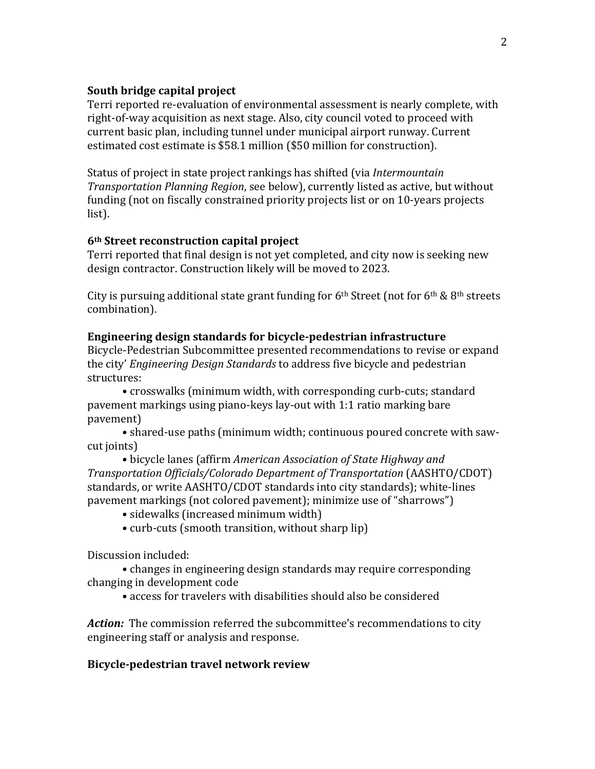### **South bridge capital project**

Terri reported re-evaluation of environmental assessment is nearly complete, with right-of-way acquisition as next stage. Also, city council voted to proceed with current basic plan, including tunnel under municipal airport runway. Current estimated cost estimate is \$58.1 million (\$50 million for construction).

Status of project in state project rankings has shifted (via *Intermountain Transportation Planning Region*, see below), currently listed as active, but without funding (not on fiscally constrained priority projects list or on 10-years projects list).

### **6th Street reconstruction capital project**

Terri reported that final design is not yet completed, and city now is seeking new design contractor. Construction likely will be moved to 2023.

City is pursuing additional state grant funding for  $6<sup>th</sup>$  Street (not for  $6<sup>th</sup>$  &  $8<sup>th</sup>$  streets combination).

### **Engineering design standards for bicycle‐pedestrian infrastructure**

Bicycle-Pedestrian Subcommittee presented recommendations to revise or expand the city' *Engineering Design Standards* to address five bicycle and pedestrian structures:

 • crosswalks (minimum width, with corresponding curb-cuts; standard pavement markings using piano-keys lay-out with 1:1 ratio marking bare pavement)

 • shared-use paths (minimum width; continuous poured concrete with sawcut joints)

 • bicycle lanes (affirm *American Association of State Highway and Transportation Officials/Colorado Department of Transportation* (AASHTO/CDOT) standards, or write AASHTO/CDOT standards into city standards); white-lines pavement markings (not colored pavement); minimize use of "sharrows")

- sidewalks (increased minimum width)
- curb-cuts (smooth transition, without sharp lip)

Discussion included:

 • changes in engineering design standards may require corresponding changing in development code

• access for travelers with disabilities should also be considered

Action: The commission referred the subcommittee's recommendations to city engineering staff or analysis and response.

### **Bicycle‐pedestrian travel network review**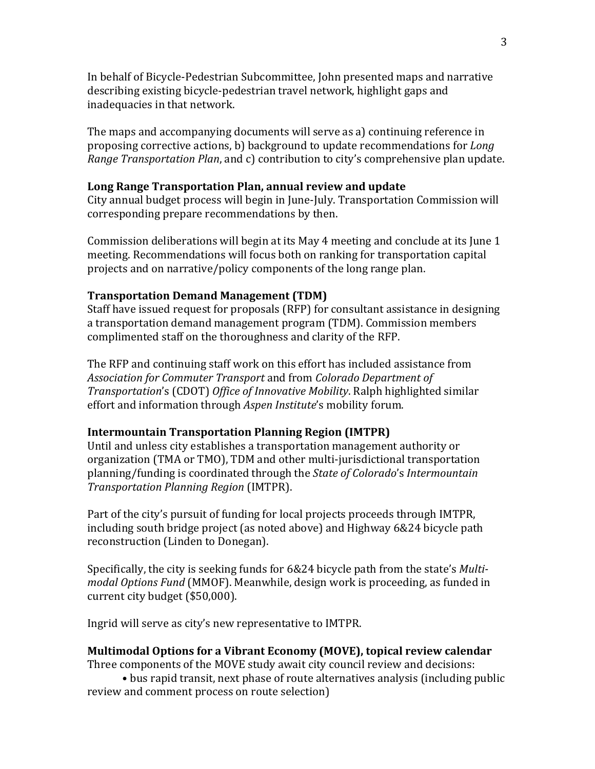In behalf of Bicycle-Pedestrian Subcommittee, John presented maps and narrative describing existing bicycle-pedestrian travel network, highlight gaps and inadequacies in that network.

The maps and accompanying documents will serve as a) continuing reference in proposing corrective actions, b) background to update recommendations for *Long Range Transportation Plan*, and c) contribution to city's comprehensive plan update.

#### **Long Range Transportation Plan, annual review and update**

City annual budget process will begin in June-July. Transportation Commission will corresponding prepare recommendations by then.

Commission deliberations will begin at its May 4 meeting and conclude at its June 1 meeting. Recommendations will focus both on ranking for transportation capital projects and on narrative/policy components of the long range plan.

#### **Transportation Demand Management (TDM)**

Staff have issued request for proposals (RFP) for consultant assistance in designing a transportation demand management program (TDM). Commission members complimented staff on the thoroughness and clarity of the RFP.

The RFP and continuing staff work on this effort has included assistance from *Association for Commuter Transport* and from *Colorado Department of Transportation*'s (CDOT) *Office of Innovative Mobility*. Ralph highlighted similar effort and information through *Aspen Institute*'s mobility forum.

### **Intermountain Transportation Planning Region (IMTPR)**

Until and unless city establishes a transportation management authority or organization (TMA or TMO), TDM and other multi-jurisdictional transportation planning/funding is coordinated through the *State of Colorado*'s *Intermountain Transportation Planning Region* (IMTPR).

Part of the city's pursuit of funding for local projects proceeds through IMTPR, including south bridge project (as noted above) and Highway 6&24 bicycle path reconstruction (Linden to Donegan).

Specifically, the city is seeking funds for 6&24 bicycle path from the state's *Multi‐ modal Options Fund* (MMOF). Meanwhile, design work is proceeding, as funded in current city budget (\$50,000).

Ingrid will serve as city's new representative to IMTPR.

#### **Multimodal Options for a Vibrant Economy (MOVE), topical review calendar**

Three components of the MOVE study await city council review and decisions:

 • bus rapid transit, next phase of route alternatives analysis (including public review and comment process on route selection)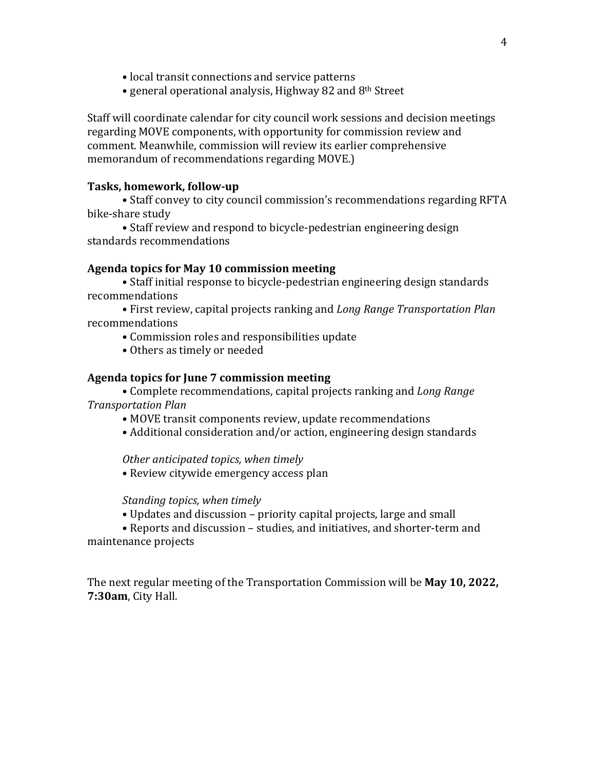- local transit connections and service patterns
- general operational analysis, Highway 82 and 8th Street

Staff will coordinate calendar for city council work sessions and decision meetings regarding MOVE components, with opportunity for commission review and comment. Meanwhile, commission will review its earlier comprehensive memorandum of recommendations regarding MOVE.)

### **Tasks, homework, follow‐up**

 • Staff convey to city council commission's recommendations regarding RFTA bike-share study

 • Staff review and respond to bicycle-pedestrian engineering design standards recommendations

#### **Agenda topics for May 10 commission meeting**

• Staff initial response to bicycle-pedestrian engineering design standards recommendations

 • First review, capital projects ranking and *Long Range Transportation Plan* recommendations

• Commission roles and responsibilities update

• Others as timely or needed

### **Agenda topics for June 7 commission meeting**

 • Complete recommendations, capital projects ranking and *Long Range Transportation Plan*

• MOVE transit components review, update recommendations

• Additional consideration and/or action, engineering design standards

*Other anticipated topics, when timely*

• Review citywide emergency access plan

*Standing topics, when timely*

• Updates and discussion – priority capital projects, large and small

• Reports and discussion – studies, and initiatives, and shorter-term and maintenance projects

The next regular meeting of the Transportation Commission will be **May 10, 2022, 7:30am**, City Hall.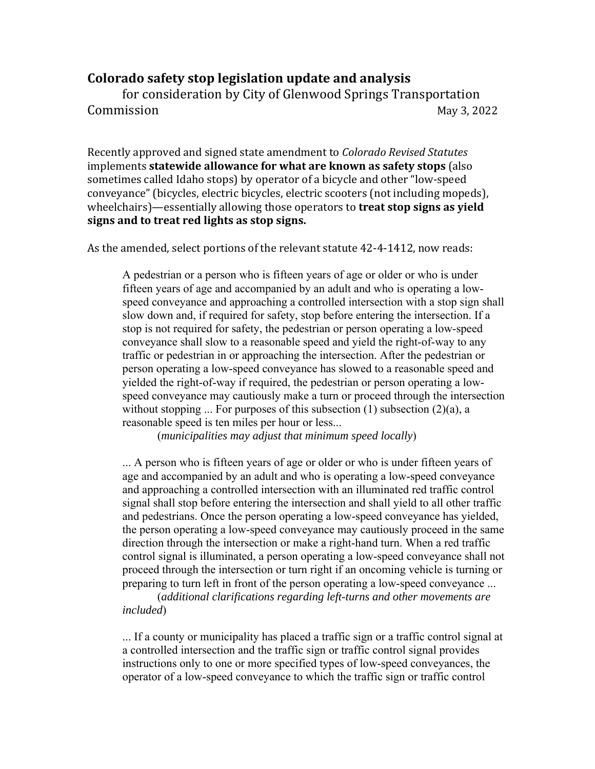# **Colorado safety stop legislation update and analysis**

for consideration by City of Glenwood Springs Transportation Commission May 3, 2022

Recently approved and signed state amendment to *Colorado Revised Statutes* implements **statewide allowance for what are known as safety stops** (also sometimes called Idaho stops) by operator of a bicycle and other "low-speed conveyance" (bicycles, electric bicycles, electric scooters (not including mopeds), wheelchairs)—essentially allowing those operators to **treat stop signs as yield signs and to treat red lights as stop signs.**

As the amended, select portions of the relevant statute 42-4-1412, now reads:

A pedestrian or a person who is fifteen years of age or older or who is under fifteen years of age and accompanied by an adult and who is operating a lowspeed conveyance and approaching a controlled intersection with a stop sign shall slow down and, if required for safety, stop before entering the intersection. If a stop is not required for safety, the pedestrian or person operating a low-speed conveyance shall slow to a reasonable speed and yield the right-of-way to any traffic or pedestrian in or approaching the intersection. After the pedestrian or person operating a low-speed conveyance has slowed to a reasonable speed and yielded the right-of-way if required, the pedestrian or person operating a lowspeed conveyance may cautiously make a turn or proceed through the intersection without stopping ... For purposes of this subsection  $(1)$  subsection  $(2)(a)$ , a reasonable speed is ten miles per hour or less...

(*municipalities may adjust that minimum speed locally*)

... A person who is fifteen years of age or older or who is under fifteen years of age and accompanied by an adult and who is operating a low-speed conveyance and approaching a controlled intersection with an illuminated red traffic control signal shall stop before entering the intersection and shall yield to all other traffic and pedestrians. Once the person operating a low-speed conveyance has yielded, the person operating a low-speed conveyance may cautiously proceed in the same direction through the intersection or make a right-hand turn. When a red traffic control signal is illuminated, a person operating a low-speed conveyance shall not proceed through the intersection or turn right if an oncoming vehicle is turning or preparing to turn left in front of the person operating a low-speed conveyance ...

 (*additional clarifications regarding left-turns and other movements are included*)

... If a county or municipality has placed a traffic sign or a traffic control signal at a controlled intersection and the traffic sign or traffic control signal provides instructions only to one or more specified types of low-speed conveyances, the operator of a low-speed conveyance to which the traffic sign or traffic control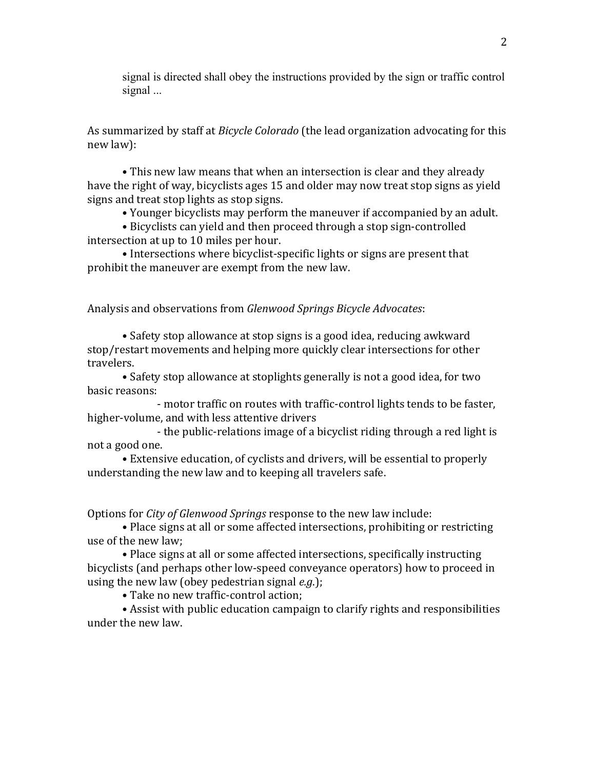signal is directed shall obey the instructions provided by the sign or traffic control signal ...

As summarized by staff at *Bicycle Colorado* (the lead organization advocating for this new law):

• This new law means that when an intersection is clear and they already have the right of way, bicyclists ages 15 and older may now treat stop signs as yield signs and treat stop lights as stop signs.

• Younger bicyclists may perform the maneuver if accompanied by an adult.

• Bicyclists can yield and then proceed through a stop sign-controlled intersection at up to 10 miles per hour.

• Intersections where bicyclist-specific lights or signs are present that prohibit the maneuver are exempt from the new law.

Analysis and observations from *Glenwood Springs Bicycle Advocates*:

 • Safety stop allowance at stop signs is a good idea, reducing awkward stop/restart movements and helping more quickly clear intersections for other travelers.

 • Safety stop allowance at stoplights generally is not a good idea, for two basic reasons:

 - motor traffic on routes with traffic-control lights tends to be faster, higher-volume, and with less attentive drivers

 - the public-relations image of a bicyclist riding through a red light is not a good one.

 • Extensive education, of cyclists and drivers, will be essential to properly understanding the new law and to keeping all travelers safe.

Options for *City of Glenwood Springs* response to the new law include:

 • Place signs at all or some affected intersections, prohibiting or restricting use of the new law;

 • Place signs at all or some affected intersections, specifically instructing bicyclists (and perhaps other low-speed conveyance operators) how to proceed in using the new law (obey pedestrian signal *e.g*.);

• Take no new traffic-control action;

 • Assist with public education campaign to clarify rights and responsibilities under the new law.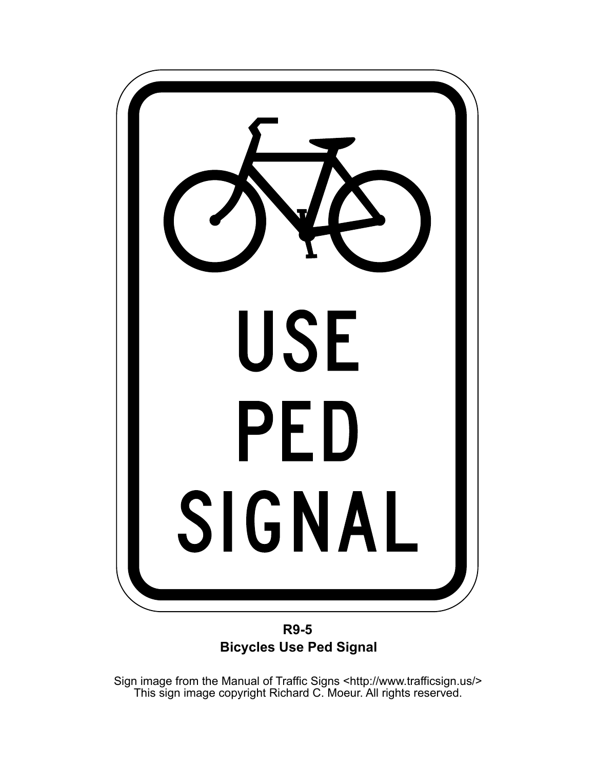

**R9-5 Bicycles Use Ped Signal** 

Sign image from the Manual of Traffic Signs <http://www.trafficsign.us/><br>This sign image copyright Richard C. Moeur. All rights reserved.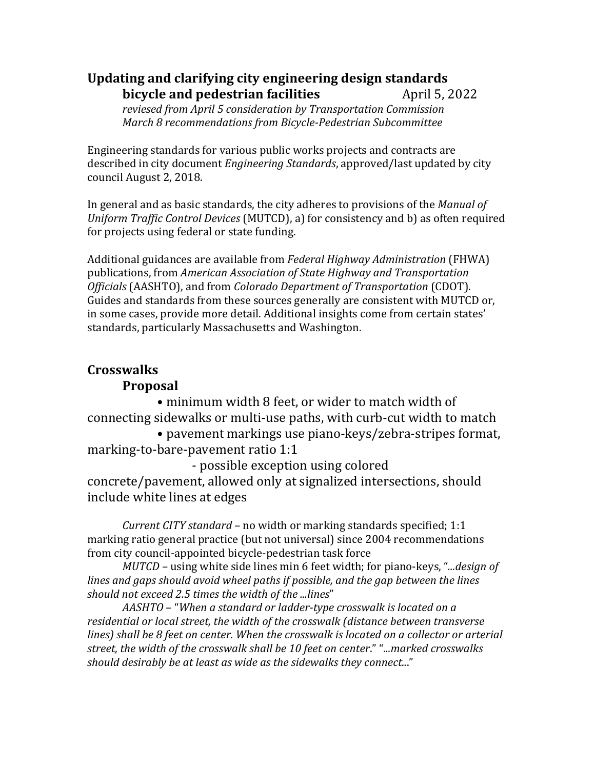# **Updating and clarifying city engineering design standards bicycle** and **pedestrian facilities** April 5, 2022 *reviesed from April 5 consideration by Transportation Commission March 8 recommendations from Bicycle‐Pedestrian Subcommittee*

Engineering standards for various public works projects and contracts are described in city document *Engineering Standards*, approved/last updated by city council August 2, 2018.

In general and as basic standards, the city adheres to provisions of the *Manual of Uniform Traffic Control Devices* (MUTCD), a) for consistency and b) as often required for projects using federal or state funding.

Additional guidances are available from *Federal Highway Administration* (FHWA) publications, from *American Association of State Highway and Transportation Officials* (AASHTO), and from *Colorado Department of Transportation* (CDOT). Guides and standards from these sources generally are consistent with MUTCD or, in some cases, provide more detail. Additional insights come from certain states' standards, particularly Massachusetts and Washington.

# **Crosswalks**

# **Proposal**

 • minimum width 8 feet, or wider to match width of connecting sidewalks or multi-use paths, with curb-cut width to match

 • pavement markings use piano-keys/zebra-stripes format, marking-to-bare-pavement ratio 1:1

 - possible exception using colored concrete/pavement, allowed only at signalized intersections, should include white lines at edges

*Current CITY standard* – no width or marking standards specified; 1:1 marking ratio general practice (but not universal) since 2004 recommendations from city council-appointed bicycle-pedestrian task force

*MUTCD* – using white side lines min 6 feet width; for piano-keys, "*...design of lines and gaps should avoid wheel paths if possible, and the gap between the lines should not exceed 2.5 times the width of the ...lines*"

*AASHTO* – "*When a standard or ladder‐type crosswalk is located on a residential or local street, the width of the crosswalk (distance between transverse lines) shall be 8 feet on center. When the crosswalk is located on a collector or arterial street, the width of the crosswalk shall be 10 feet on center*." "*...marked crosswalks should desirably be at least as wide as the sidewalks they connect..*."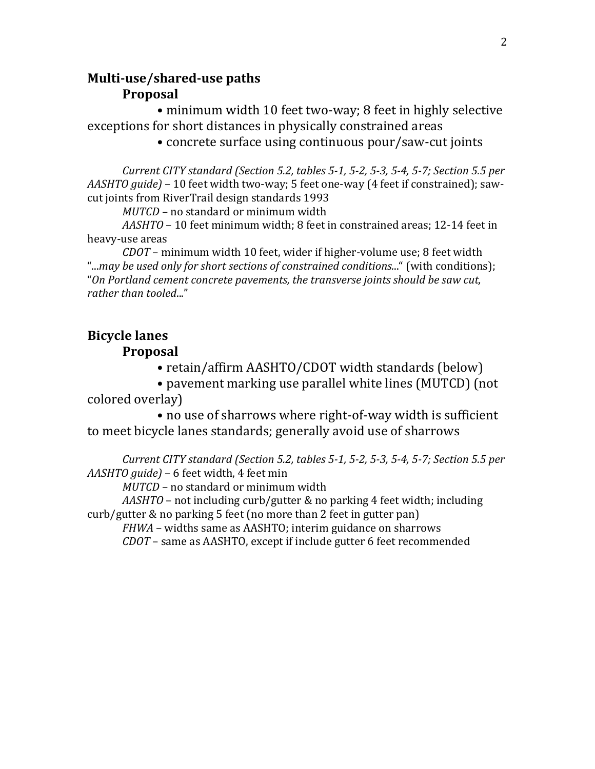# **Multi‐use/shared‐use paths Proposal**

 • minimum width 10 feet two-way; 8 feet in highly selective exceptions for short distances in physically constrained areas

• concrete surface using continuous pour/saw-cut joints

Current CITY standard (Section 5.2, tables 5-1, 5-2, 5-3, 5-4, 5-7; Section 5.5 per *AASHTO guide)* – 10 feet width two-way; 5 feet one-way (4 feet if constrained); sawcut joints from RiverTrail design standards 1993

*MUTCD* – no standard or minimum width

*AASHTO* – 10 feet minimum width; 8 feet in constrained areas; 12-14 feet in heavy-use areas

*CDOT* – minimum width 10 feet, wider if higher-volume use; 8 feet width "...*may be used only for short sections of constrained conditions.*.." (with conditions); "*On Portland cement concrete pavements, the transverse joints should be saw cut, rather than tooled*..."

# **Bicycle lanes**

# **Proposal**

• retain/affirm AASHTO/CDOT width standards (below)

 • pavement marking use parallel white lines (MUTCD) (not colored overlay)

 • no use of sharrows where right-of-way width is sufficient to meet bicycle lanes standards; generally avoid use of sharrows

Current CITY standard (Section 5.2, tables 5-1, 5-2, 5-3, 5-4, 5-7; Section 5.5 per *AASHTO guide)* – 6 feet width, 4 feet min

*MUTCD* – no standard or minimum width

*AASHTO* – not including curb/gutter & no parking 4 feet width; including curb/gutter & no parking 5 feet (no more than 2 feet in gutter pan)

*FHWA* – widths same as AASHTO; interim guidance on sharrows

*CDOT* – same as AASHTO, except if include gutter 6 feet recommended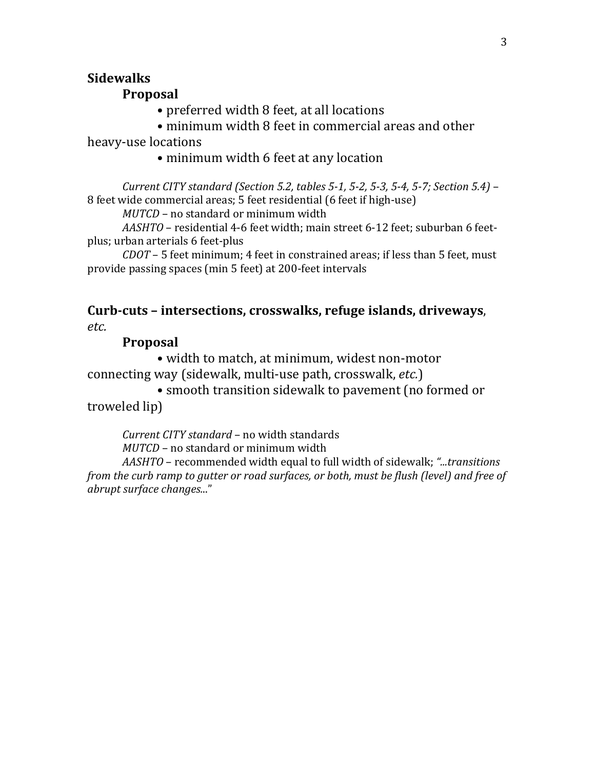# **Sidewalks**

## **Proposal**

• preferred width 8 feet, at all locations

• minimum width 8 feet in commercial areas and other

heavy-use locations

• minimum width 6 feet at any location

Current CITY standard (Section 5.2, tables 5-1, 5-2, 5-3, 5-4, 5-7; Section 5.4) -8 feet wide commercial areas; 5 feet residential (6 feet if high-use)

*MUTCD* – no standard or minimum width

*AASHTO* – residential 4-6 feet width; main street 6-12 feet; suburban 6 feetplus; urban arterials 6 feet-plus

*CDOT* – 5 feet minimum; 4 feet in constrained areas; if less than 5 feet, must provide passing spaces (min 5 feet) at 200-feet intervals

# **Curb‐cuts – intersections, crosswalks, refuge islands, driveways**, *etc.*

# **Proposal**

 • width to match, at minimum, widest non-motor connecting way (sidewalk, multi-use path, crosswalk, *etc.*)

 • smooth transition sidewalk to pavement (no formed or troweled lip)

*Current CITY standard* – no width standards

*MUTCD* – no standard or minimum width

*AASHTO* – recommended width equal to full width of sidewalk; *"...transitions from the curb ramp to gutter or road surfaces, or both, must be flush (level) and free of abrupt surface changes.*.."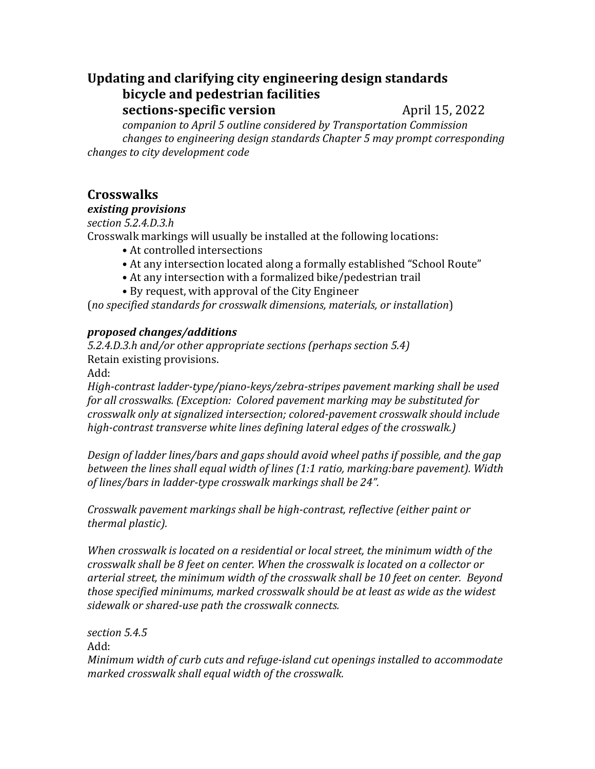# **Updating and clarifying city engineering design standards bicycle and pedestrian facilities**

**sections-specific version** April 15, 2022

*companion to April 5 outline considered by Transportation Commission changes to engineering design standards Chapter 5 may prompt corresponding changes to city development code*

# **Crosswalks**

# *existing provisions*

*section 5.2.4.D.3.h*

Crosswalk markings will usually be installed at the following locations:

- At controlled intersections
- At any intersection located along a formally established "School Route"
- At any intersection with a formalized bike/pedestrian trail
- By request, with approval of the City Engineer

(*no specified standards for crosswalk dimensions, materials, or installation*)

# *proposed changes/additions*

*5.2.4.D.3.h and/or other appropriate sections (perhaps section 5.4)* Retain existing provisions.

Add:

*High‐contrast ladder‐type/piano‐keys/zebra‐stripes pavement marking shall be used for all crosswalks. (Exception: Colored pavement marking may be substituted for crosswalk only at signalized intersection; colored‐pavement crosswalk should include high‐contrast transverse white lines defining lateral edges of the crosswalk.)*

*Design of ladder lines/bars and gaps should avoid wheel paths if possible, and the gap between the lines shall equal width of lines (1:1 ratio, marking:bare pavement). Width of lines/bars in ladder‐type crosswalk markings shall be 24".*

*Crosswalk pavement markings shall be high‐contrast, reflective (either paint or thermal plastic).*

*When crosswalk is located on a residential or local street, the minimum width of the crosswalk shall be 8 feet on center. When the crosswalk is located on a collector or arterial street, the minimum width of the crosswalk shall be 10 feet on center. Beyond those specified minimums, marked crosswalk should be at least as wide as the widest sidewalk or shared‐use path the crosswalk connects.*

*section 5.4.5*

Add:

*Minimum width of curb cuts and refuge‐island cut openings installed to accommodate marked crosswalk shall equal width of the crosswalk.*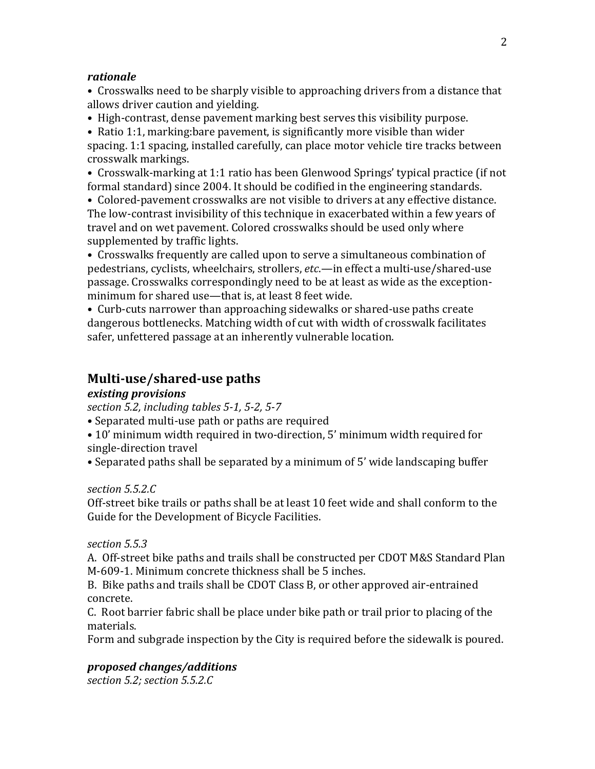#### *rationale*

• Crosswalks need to be sharply visible to approaching drivers from a distance that allows driver caution and yielding.

• High-contrast, dense pavement marking best serves this visibility purpose.

• Ratio 1:1, marking:bare pavement, is significantly more visible than wider spacing. 1:1 spacing, installed carefully, can place motor vehicle tire tracks between crosswalk markings.

• Crosswalk-marking at 1:1 ratio has been Glenwood Springs' typical practice (if not formal standard) since 2004. It should be codified in the engineering standards.

• Colored-pavement crosswalks are not visible to drivers at any effective distance. The low-contrast invisibility of this technique in exacerbated within a few years of travel and on wet pavement. Colored crosswalks should be used only where supplemented by traffic lights.

• Crosswalks frequently are called upon to serve a simultaneous combination of pedestrians, cyclists, wheelchairs, strollers, *etc*.—in effect a multi-use/shared-use passage. Crosswalks correspondingly need to be at least as wide as the exceptionminimum for shared use—that is, at least 8 feet wide.

• Curb-cuts narrower than approaching sidewalks or shared-use paths create dangerous bottlenecks. Matching width of cut with width of crosswalk facilitates safer, unfettered passage at an inherently vulnerable location.

# **Multi‐use/shared‐use paths**

### *existing provisions*

*section 5.2, including tables 5‐1, 5‐2, 5‐7*

• Separated multi-use path or paths are required

• 10' minimum width required in two-direction, 5' minimum width required for single-direction travel

• Separated paths shall be separated by a minimum of 5' wide landscaping buffer

### *section 5.5.2.C*

Off-street bike trails or paths shall be at least 10 feet wide and shall conform to the Guide for the Development of Bicycle Facilities.

#### *section 5.5.3*

A. Off-street bike paths and trails shall be constructed per CDOT M&S Standard Plan M-609-1. Minimum concrete thickness shall be 5 inches.

B. Bike paths and trails shall be CDOT Class B, or other approved air-entrained concrete.

C. Root barrier fabric shall be place under bike path or trail prior to placing of the materials.

Form and subgrade inspection by the City is required before the sidewalk is poured.

### *proposed changes/additions*

*section 5.2; section 5.5.2.C*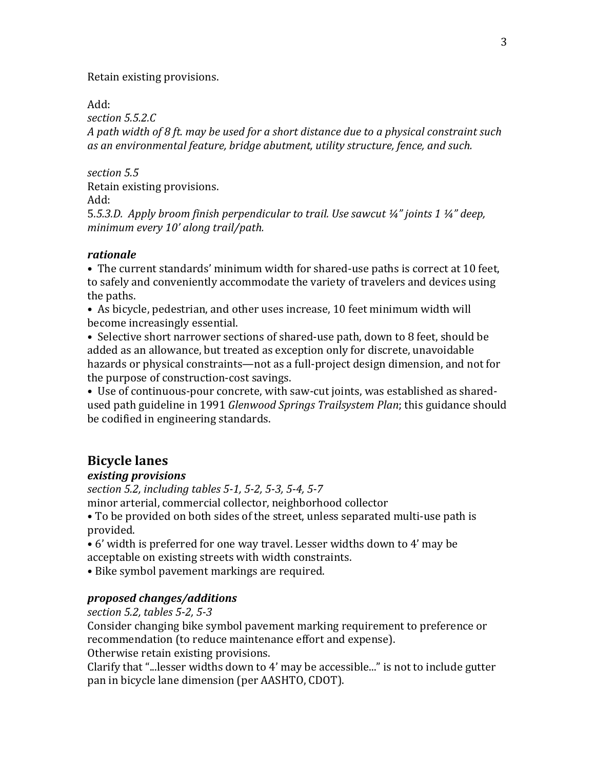Retain existing provisions.

Add:

*section 5.5.2.C*

*A path width of 8 ft. may be used for a short distance due to a physical constraint such as an environmental feature, bridge abutment, utility structure, fence, and such.*

*section 5.5* Retain existing provisions.

Add:

5*.5.3.D. Apply broom finish perpendicular to trail. Use sawcut ¼" joints 1 ¼" deep, minimum every 10' along trail/path.*

### *rationale*

• The current standards' minimum width for shared-use paths is correct at 10 feet, to safely and conveniently accommodate the variety of travelers and devices using the paths.

• As bicycle, pedestrian, and other uses increase, 10 feet minimum width will become increasingly essential.

• Selective short narrower sections of shared-use path, down to 8 feet, should be added as an allowance, but treated as exception only for discrete, unavoidable hazards or physical constraints—not as a full-project design dimension, and not for the purpose of construction-cost savings.

• Use of continuous-pour concrete, with saw-cut joints, was established as sharedused path guideline in 1991 *Glenwood Springs Trailsystem Plan*; this guidance should be codified in engineering standards.

# **Bicycle lanes**

# *existing provisions*

*section 5.2, including tables 5‐1, 5‐2, 5‐3, 5‐4, 5‐7*

minor arterial, commercial collector, neighborhood collector

• To be provided on both sides of the street, unless separated multi-use path is provided.

• 6' width is preferred for one way travel. Lesser widths down to 4' may be acceptable on existing streets with width constraints.

• Bike symbol pavement markings are required.

# *proposed changes/additions*

*section 5.2, tables 5‐2, 5‐3*

Consider changing bike symbol pavement marking requirement to preference or recommendation (to reduce maintenance effort and expense).

Otherwise retain existing provisions.

Clarify that "...lesser widths down to 4' may be accessible..." is not to include gutter pan in bicycle lane dimension (per AASHTO, CDOT).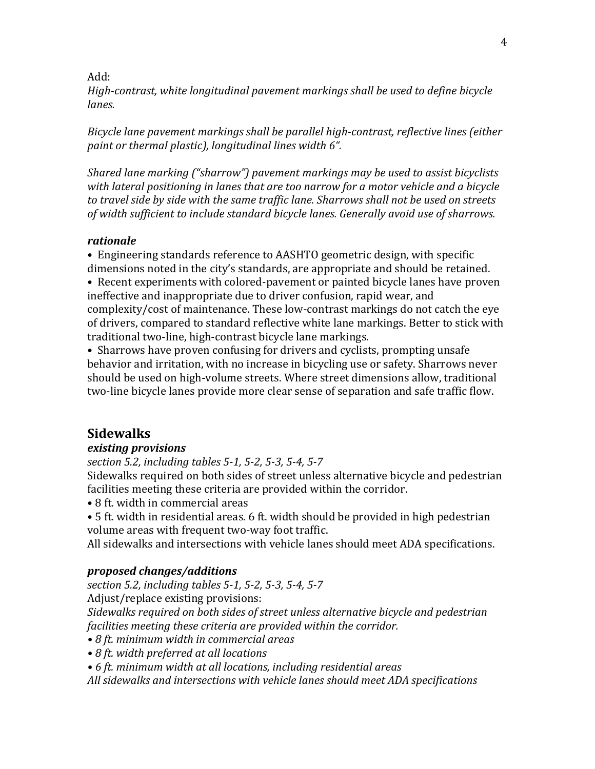#### Add:

*High‐contrast, white longitudinal pavement markings shall be used to define bicycle lanes.*

*Bicycle lane pavement markings shall be parallel high‐contrast, reflective lines (either paint or thermal plastic), longitudinal lines width 6".*

*Shared lane marking ("sharrow") pavement markings may be used to assist bicyclists with lateral positioning in lanes that are too narrow for a motor vehicle and a bicycle to travel side by side with the same traffic lane. Sharrows shall not be used on streets of width sufficient to include standard bicycle lanes. Generally avoid use of sharrows.*

### *rationale*

• Engineering standards reference to AASHTO geometric design, with specific dimensions noted in the city's standards, are appropriate and should be retained.

• Recent experiments with colored-pavement or painted bicycle lanes have proven ineffective and inappropriate due to driver confusion, rapid wear, and complexity/cost of maintenance. These low-contrast markings do not catch the eye of drivers, compared to standard reflective white lane markings. Better to stick with traditional two-line, high-contrast bicycle lane markings.

• Sharrows have proven confusing for drivers and cyclists, prompting unsafe behavior and irritation, with no increase in bicycling use or safety. Sharrows never should be used on high-volume streets. Where street dimensions allow, traditional two-line bicycle lanes provide more clear sense of separation and safe traffic flow.

## **Sidewalks**

### *existing provisions*

*section 5.2, including tables 5‐1, 5‐2, 5‐3, 5‐4, 5‐7*

Sidewalks required on both sides of street unless alternative bicycle and pedestrian facilities meeting these criteria are provided within the corridor.

- 8 ft. width in commercial areas
- 5 ft. width in residential areas. 6 ft. width should be provided in high pedestrian volume areas with frequent two-way foot traffic.

All sidewalks and intersections with vehicle lanes should meet ADA specifications.

#### *proposed changes/additions*

*section 5.2, including tables 5‐1, 5‐2, 5‐3, 5‐4, 5‐7*

Adjust/replace existing provisions:

*Sidewalks required on both sides of street unless alternative bicycle and pedestrian facilities meeting these criteria are provided within the corridor.*

- *• 8 ft. minimum width in commercial areas*
- *• 8 ft. width preferred at all locations*

*• 6 ft. minimum width at all locations, including residential areas*

*All sidewalks and intersections with vehicle lanes should meet ADA specifications*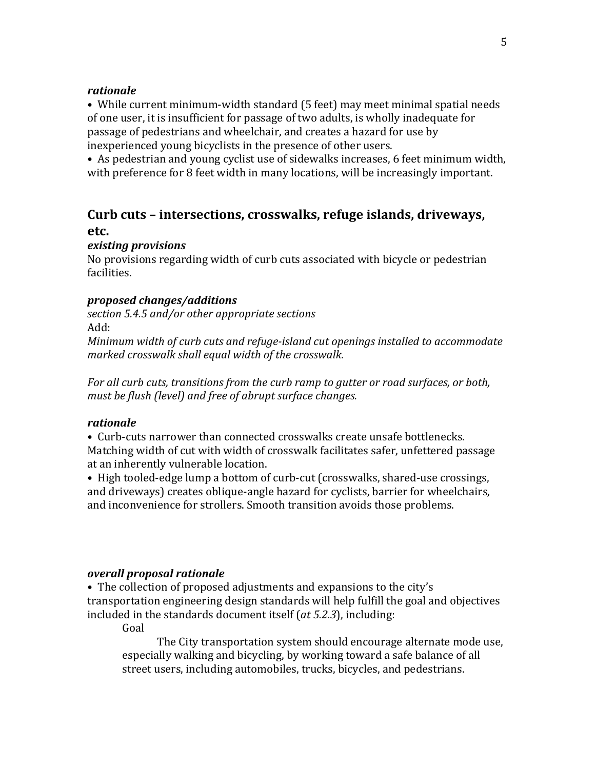### *rationale*

• While current minimum-width standard (5 feet) may meet minimal spatial needs of one user, it is insufficient for passage of two adults, is wholly inadequate for passage of pedestrians and wheelchair, and creates a hazard for use by inexperienced young bicyclists in the presence of other users.

• As pedestrian and young cyclist use of sidewalks increases, 6 feet minimum width, with preference for 8 feet width in many locations, will be increasingly important.

# **Curb cuts – intersections, crosswalks, refuge islands, driveways, etc.**

### *existing provisions*

No provisions regarding width of curb cuts associated with bicycle or pedestrian facilities.

### *proposed changes/additions*

*section 5.4.5 and/or other appropriate sections*

Add:

*Minimum width of curb cuts and refuge‐island cut openings installed to accommodate marked crosswalk shall equal width of the crosswalk.*

*For all curb cuts, transitions from the curb ramp to gutter or road surfaces, or both, must be flush (level) and free of abrupt surface changes.*

### *rationale*

• Curb-cuts narrower than connected crosswalks create unsafe bottlenecks. Matching width of cut with width of crosswalk facilitates safer, unfettered passage at an inherently vulnerable location.

• High tooled-edge lump a bottom of curb-cut (crosswalks, shared-use crossings, and driveways) creates oblique-angle hazard for cyclists, barrier for wheelchairs, and inconvenience for strollers. Smooth transition avoids those problems.

#### *overall proposal rationale*

• The collection of proposed adjustments and expansions to the city's transportation engineering design standards will help fulfill the goal and objectives included in the standards document itself (*at 5.2.3*), including:

Goal

The City transportation system should encourage alternate mode use, especially walking and bicycling, by working toward a safe balance of all street users, including automobiles, trucks, bicycles, and pedestrians.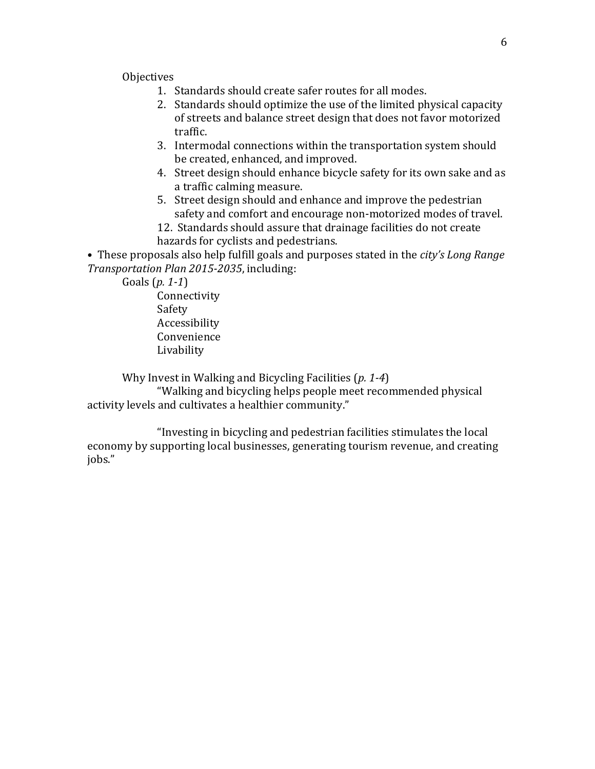**Objectives** 

- 1. Standards should create safer routes for all modes.
- 2. Standards should optimize the use of the limited physical capacity of streets and balance street design that does not favor motorized traffic.
- 3. Intermodal connections within the transportation system should be created, enhanced, and improved.
- 4. Street design should enhance bicycle safety for its own sake and as a traffic calming measure.
- 5. Street design should and enhance and improve the pedestrian safety and comfort and encourage non-motorized modes of travel.
- 12. Standards should assure that drainage facilities do not create hazards for cyclists and pedestrians.

• These proposals also help fulfill goals and purposes stated in the *city's Long Range Transportation Plan 2015‐2035*, including:

 Goals (*p. 1‐1*) Connectivity Safety Accessibility Convenience Livability

Why Invest in Walking and Bicycling Facilities (*p. 1‐4*)

 "Walking and bicycling helps people meet recommended physical activity levels and cultivates a healthier community."

 "Investing in bicycling and pedestrian facilities stimulates the local economy by supporting local businesses, generating tourism revenue, and creating jobs."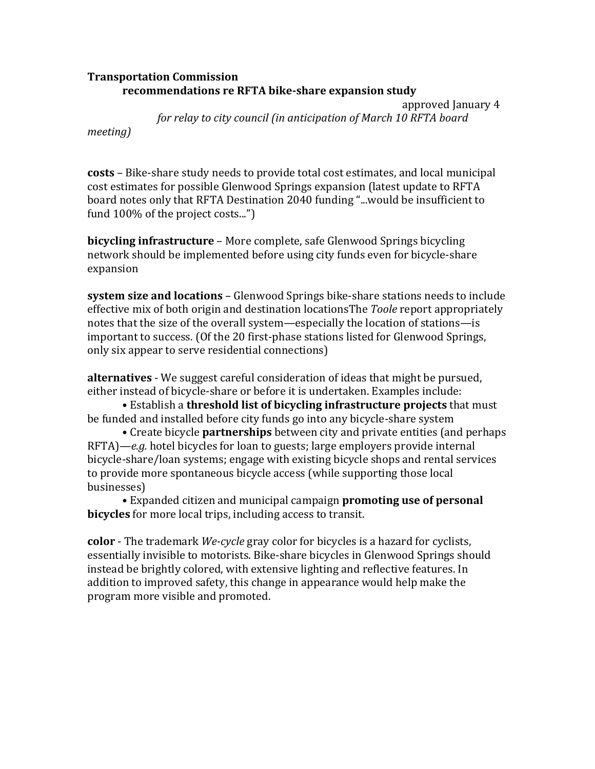### **Transportation Commission recommendations re RFTA bike‐share expansion study**

 approved January 4 *for relay to city council (in anticipation of March 10 RFTA board*

*meeting)*

**costs** – Bike-share study needs to provide total cost estimates, and local municipal cost estimates for possible Glenwood Springs expansion (latest update to RFTA board notes only that RFTA Destination 2040 funding "...would be insufficient to fund 100% of the project costs...")

**bicycling infrastructure** – More complete, safe Glenwood Springs bicycling network should be implemented before using city funds even for bicycle-share expansion

**system size and locations** – Glenwood Springs bike-share stations needs to include effective mix of both origin and destination locationsThe *Toole* report appropriately notes that the size of the overall system—especially the location of stations—is important to success. (Of the 20 first-phase stations listed for Glenwood Springs, only six appear to serve residential connections)

**alternatives** - We suggest careful consideration of ideas that might be pursued, either instead of bicycle-share or before it is undertaken. Examples include:

 • Establish a **threshold list of bicycling infrastructure projects** that must be funded and installed before city funds go into any bicycle-share system

 • Create bicycle **partnerships** between city and private entities (and perhaps RFTA)—*e.g.* hotel bicycles for loan to guests; large employers provide internal bicycle-share/loan systems; engage with existing bicycle shops and rental services to provide more spontaneous bicycle access (while supporting those local businesses)

 • Expanded citizen and municipal campaign **promoting use of personal bicycles** for more local trips, including access to transit.

**color** - The trademark *We‐cycle* gray color for bicycles is a hazard for cyclists, essentially invisible to motorists. Bike-share bicycles in Glenwood Springs should instead be brightly colored, with extensive lighting and reflective features. In addition to improved safety, this change in appearance would help make the program more visible and promoted.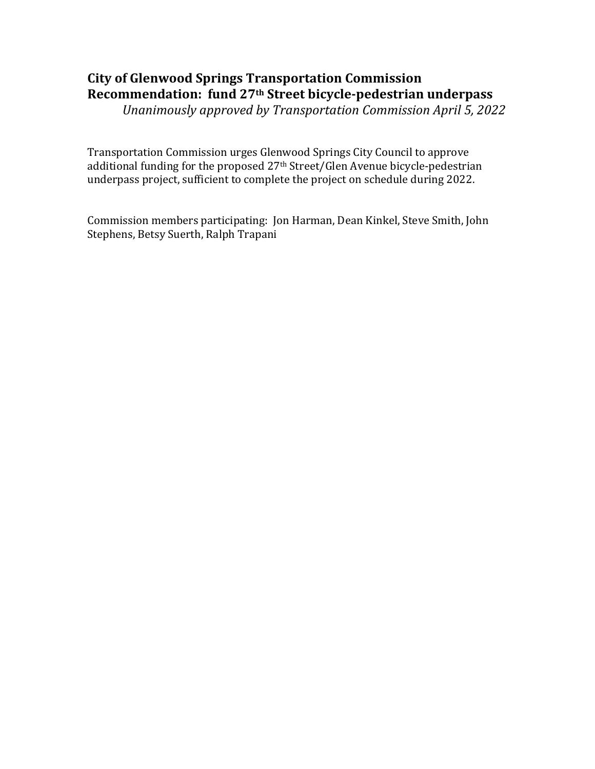# **City of Glenwood Springs Transportation Commission Recommendation: fund 27th Street bicycle‐pedestrian underpass**

*Unanimously approved by Transportation Commission April 5, 2022*

Transportation Commission urges Glenwood Springs City Council to approve additional funding for the proposed 27th Street/Glen Avenue bicycle-pedestrian underpass project, sufficient to complete the project on schedule during 2022.

Commission members participating: Jon Harman, Dean Kinkel, Steve Smith, John Stephens, Betsy Suerth, Ralph Trapani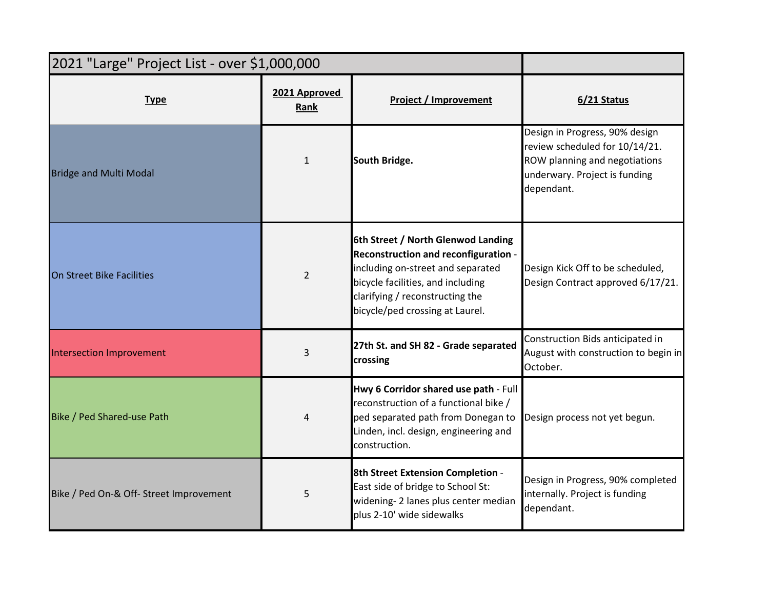| 2021 "Large" Project List - over \$1,000,000 |                       |                                                                                                                                                                                                                            |                                                                                                                                                  |
|----------------------------------------------|-----------------------|----------------------------------------------------------------------------------------------------------------------------------------------------------------------------------------------------------------------------|--------------------------------------------------------------------------------------------------------------------------------------------------|
| <b>Type</b>                                  | 2021 Approved<br>Rank | <b>Project / Improvement</b>                                                                                                                                                                                               | 6/21 Status                                                                                                                                      |
| <b>Bridge and Multi Modal</b>                | $\mathbf{1}$          | South Bridge.                                                                                                                                                                                                              | Design in Progress, 90% design<br>review scheduled for 10/14/21.<br>ROW planning and negotiations<br>underwary. Project is funding<br>dependant. |
| On Street Bike Facilities                    | $\overline{2}$        | 6th Street / North Glenwod Landing<br>Reconstruction and reconfiguration -<br>including on-street and separated<br>bicycle facilities, and including<br>clarifying / reconstructing the<br>bicycle/ped crossing at Laurel. | Design Kick Off to be scheduled,<br>Design Contract approved 6/17/21.                                                                            |
| <b>Intersection Improvement</b>              | 3                     | 27th St. and SH 82 - Grade separated<br>crossing                                                                                                                                                                           | Construction Bids anticipated in<br>August with construction to begin in<br>October.                                                             |
| <b>Bike / Ped Shared-use Path</b>            | 4                     | Hwy 6 Corridor shared use path - Full<br>reconstruction of a functional bike /<br>ped separated path from Donegan to<br>Linden, incl. design, engineering and<br>construction.                                             | Design process not yet begun.                                                                                                                    |
| Bike / Ped On-& Off- Street Improvement      | 5                     | 8th Street Extension Completion -<br>East side of bridge to School St:<br>widening-2 lanes plus center median<br>plus 2-10' wide sidewalks                                                                                 | Design in Progress, 90% completed<br>internally. Project is funding<br>dependant.                                                                |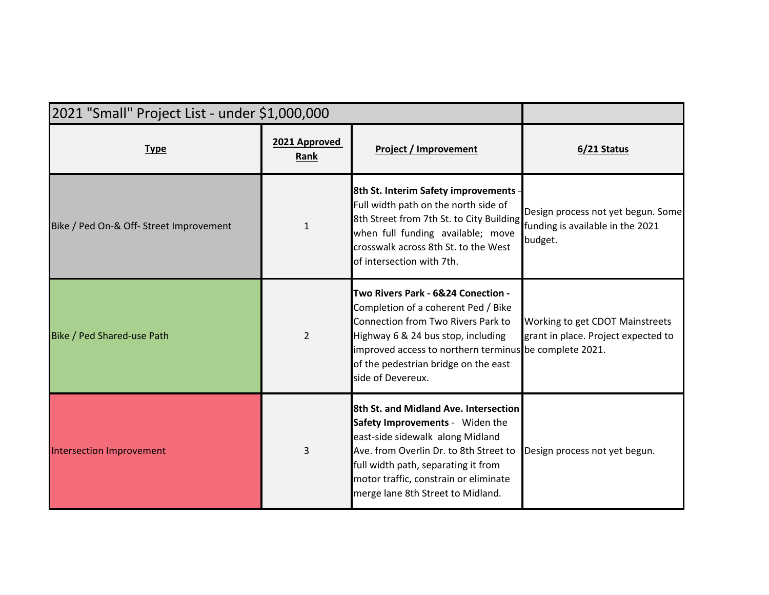| 2021 "Small" Project List - under \$1,000,000 |                       |                                                                                                                                                                                                                                                                              |                                                                                   |
|-----------------------------------------------|-----------------------|------------------------------------------------------------------------------------------------------------------------------------------------------------------------------------------------------------------------------------------------------------------------------|-----------------------------------------------------------------------------------|
| <b>Type</b>                                   | 2021 Approved<br>Rank | <b>Project / Improvement</b>                                                                                                                                                                                                                                                 | 6/21 Status                                                                       |
| Bike / Ped On-& Off- Street Improvement       | $\mathbf{1}$          | 8th St. Interim Safety improvements<br>Full width path on the north side of<br>8th Street from 7th St. to City Building<br>when full funding available; move<br>crosswalk across 8th St. to the West<br>of intersection with 7th.                                            | Design process not yet begun. Some<br>funding is available in the 2021<br>budget. |
| Bike / Ped Shared-use Path                    | $\overline{2}$        | Two Rivers Park - 6&24 Conection -<br>Completion of a coherent Ped / Bike<br>Connection from Two Rivers Park to<br>Highway 6 & 24 bus stop, including<br>improved access to northern terminus be complete 2021.<br>of the pedestrian bridge on the east<br>side of Devereux. | Working to get CDOT Mainstreets<br>grant in place. Project expected to            |
| <b>Intersection Improvement</b>               | 3                     | 8th St. and Midland Ave. Intersection<br>Safety Improvements - Widen the<br>east-side sidewalk along Midland<br>Ave. from Overlin Dr. to 8th Street to<br>full width path, separating it from<br>motor traffic, constrain or eliminate<br>merge lane 8th Street to Midland.  | Design process not yet begun.                                                     |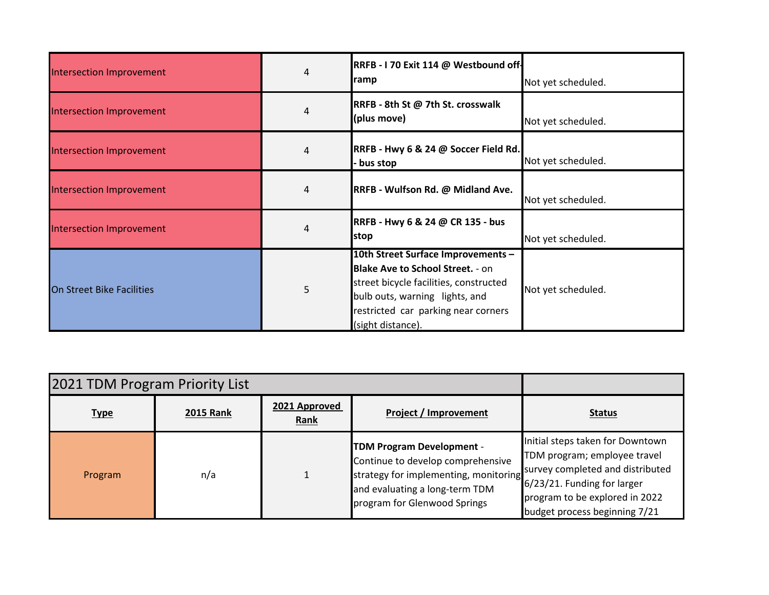| Intersection Improvement         | 4 | RRFB - I 70 Exit 114 @ Westbound off-<br>ramp                                                                                                                                                                         | Not yet scheduled. |
|----------------------------------|---|-----------------------------------------------------------------------------------------------------------------------------------------------------------------------------------------------------------------------|--------------------|
| Intersection Improvement         | 4 | RRFB - 8th St @ 7th St. crosswalk<br>(plus move)                                                                                                                                                                      | Not yet scheduled. |
| Intersection Improvement         | 4 | RRFB - Hwy 6 & 24 @ Soccer Field Rd.<br>bus stop                                                                                                                                                                      | Not yet scheduled. |
| Intersection Improvement         | 4 | RRFB - Wulfson Rd. @ Midland Ave.                                                                                                                                                                                     | Not yet scheduled. |
| Intersection Improvement         | 4 | RRFB - Hwy 6 & 24 @ CR 135 - bus<br>stop                                                                                                                                                                              | Not yet scheduled. |
| <b>On Street Bike Facilities</b> | 5 | 10th Street Surface Improvements -<br><b>Blake Ave to School Street. - on</b><br>street bicycle facilities, constructed<br>bulb outs, warning lights, and<br>restricted car parking near corners<br>(sight distance). | Not yet scheduled. |

| 2021 TDM Program Priority List |                  |                       |                                                                                                                                                                                  |                                                                                                                                                                                                           |
|--------------------------------|------------------|-----------------------|----------------------------------------------------------------------------------------------------------------------------------------------------------------------------------|-----------------------------------------------------------------------------------------------------------------------------------------------------------------------------------------------------------|
| <b>Type</b>                    | <b>2015 Rank</b> | 2021 Approved<br>Rank | Project / Improvement                                                                                                                                                            | <b>Status</b>                                                                                                                                                                                             |
| Program                        | n/a              |                       | <b>TDM Program Development -</b><br>Continue to develop comprehensive<br>strategy for implementing, monitoring<br>and evaluating a long-term TDM<br>program for Glenwood Springs | Initial steps taken for Downtown<br>TDM program; employee travel<br>survey completed and distributed<br>$6/23/21$ . Funding for larger<br>program to be explored in 2022<br>budget process beginning 7/21 |